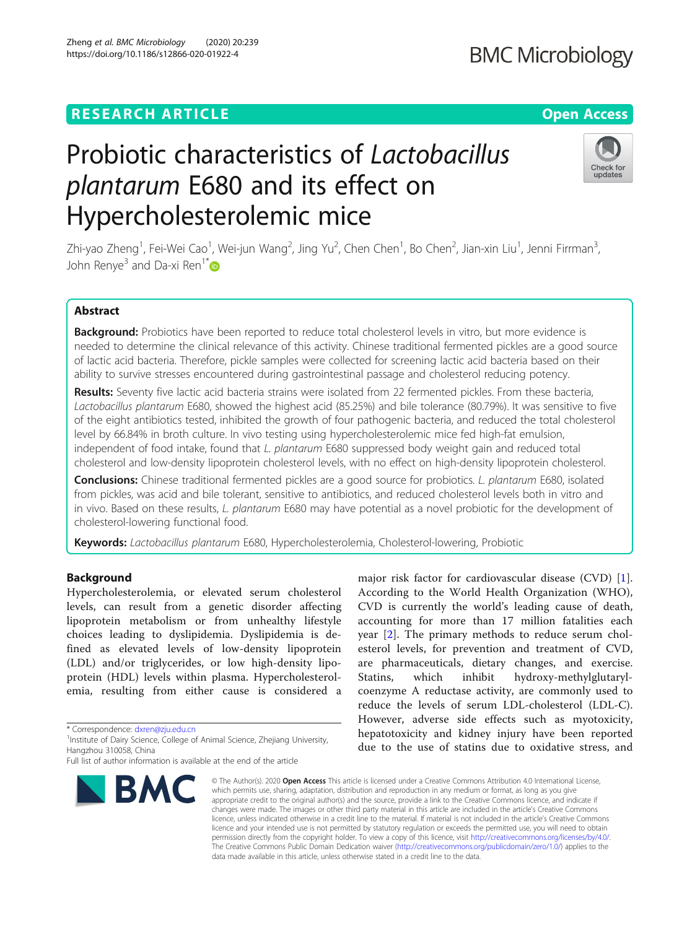# Probiotic characteristics of Lactobacillus plantarum E680 and its effect on Hypercholesterolemic mice

Zhi-yao Zheng<sup>1</sup>, Fei-Wei Cao<sup>1</sup>, Wei-jun Wang<sup>2</sup>, Jing Yu<sup>2</sup>, Chen Chen<sup>1</sup>, Bo Chen<sup>2</sup>, Jian-xin Liu<sup>1</sup>, Jenni Firrman<sup>3</sup> , John Renye<sup>3</sup> and Da-xi Ren<sup>1[\\*](http://orcid.org/0000-0002-8016-0033)</sup>

### Abstract

Background: Probiotics have been reported to reduce total cholesterol levels in vitro, but more evidence is needed to determine the clinical relevance of this activity. Chinese traditional fermented pickles are a good source of lactic acid bacteria. Therefore, pickle samples were collected for screening lactic acid bacteria based on their ability to survive stresses encountered during gastrointestinal passage and cholesterol reducing potency.

Results: Seventy five lactic acid bacteria strains were isolated from 22 fermented pickles. From these bacteria, Lactobacillus plantarum E680, showed the highest acid (85.25%) and bile tolerance (80.79%). It was sensitive to five of the eight antibiotics tested, inhibited the growth of four pathogenic bacteria, and reduced the total cholesterol level by 66.84% in broth culture. In vivo testing using hypercholesterolemic mice fed high-fat emulsion, independent of food intake, found that L. plantarum E680 suppressed body weight gain and reduced total cholesterol and low-density lipoprotein cholesterol levels, with no effect on high-density lipoprotein cholesterol.

Conclusions: Chinese traditional fermented pickles are a good source for probiotics. L. plantarum E680, isolated from pickles, was acid and bile tolerant, sensitive to antibiotics, and reduced cholesterol levels both in vitro and in vivo. Based on these results, L. plantarum E680 may have potential as a novel probiotic for the development of cholesterol-lowering functional food.

Keywords: Lactobacillus plantarum E680, Hypercholesterolemia, Cholesterol-lowering, Probiotic

#### Background

Hypercholesterolemia, or elevated serum cholesterol levels, can result from a genetic disorder affecting lipoprotein metabolism or from unhealthy lifestyle choices leading to dyslipidemia. Dyslipidemia is defined as elevated levels of low-density lipoprotein (LDL) and/or triglycerides, or low high-density lipoprotein (HDL) levels within plasma. Hypercholesterolemia, resulting from either cause is considered a

\* Correspondence: [dxren@zju.edu.cn](mailto:dxren@zju.edu.cn) <sup>1</sup>

<sup>1</sup> Institute of Dairy Science, College of Animal Science, Zhejiang University, Hangzhou 310058, China

# hepatotoxicity and kidney injury have been reported due to the use of statins due to oxidative stress, and © The Author(s), 2020 **Open Access** This article is licensed under a Creative Commons Attribution 4.0 International License, **BMC**

which permits use, sharing, adaptation, distribution and reproduction in any medium or format, as long as you give appropriate credit to the original author(s) and the source, provide a link to the Creative Commons licence, and indicate if changes were made. The images or other third party material in this article are included in the article's Creative Commons licence, unless indicated otherwise in a credit line to the material. If material is not included in the article's Creative Commons licence and your intended use is not permitted by statutory regulation or exceeds the permitted use, you will need to obtain permission directly from the copyright holder. To view a copy of this licence, visit [http://creativecommons.org/licenses/by/4.0/.](http://creativecommons.org/licenses/by/4.0/) The Creative Commons Public Domain Dedication waiver [\(http://creativecommons.org/publicdomain/zero/1.0/](http://creativecommons.org/publicdomain/zero/1.0/)) applies to the data made available in this article, unless otherwise stated in a credit line to the data.

major risk factor for cardiovascular disease (CVD) [\[1](#page-7-0)]. According to the World Health Organization (WHO), CVD is currently the world's leading cause of death, accounting for more than 17 million fatalities each year [\[2](#page-7-0)]. The primary methods to reduce serum cholesterol levels, for prevention and treatment of CVD, are pharmaceuticals, dietary changes, and exercise. Statins, which inhibit hydroxy-methylglutarylcoenzyme A reductase activity, are commonly used to reduce the levels of serum LDL-cholesterol (LDL-C). However, adverse side effects such as myotoxicity,





Full list of author information is available at the end of the article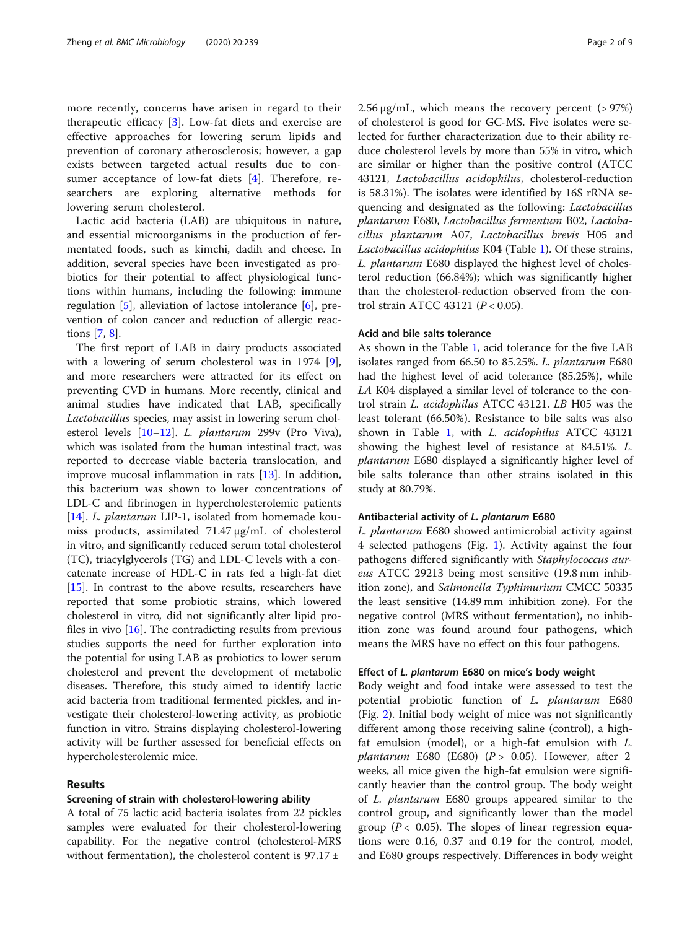more recently, concerns have arisen in regard to their therapeutic efficacy [\[3](#page-7-0)]. Low-fat diets and exercise are effective approaches for lowering serum lipids and prevention of coronary atherosclerosis; however, a gap exists between targeted actual results due to consumer acceptance of low-fat diets [\[4](#page-7-0)]. Therefore, researchers are exploring alternative methods for lowering serum cholesterol.

Lactic acid bacteria (LAB) are ubiquitous in nature, and essential microorganisms in the production of fermentated foods, such as kimchi, dadih and cheese. In addition, several species have been investigated as probiotics for their potential to affect physiological functions within humans, including the following: immune regulation  $[5]$  $[5]$ , alleviation of lactose intolerance  $[6]$  $[6]$ , prevention of colon cancer and reduction of allergic reactions [[7,](#page-7-0) [8\]](#page-7-0).

The first report of LAB in dairy products associated with a lowering of serum cholesterol was in 1974 [\[9](#page-7-0)], and more researchers were attracted for its effect on preventing CVD in humans. More recently, clinical and animal studies have indicated that LAB, specifically Lactobacillus species, may assist in lowering serum cholesterol levels [\[10](#page-7-0)–[12\]](#page-7-0). L. plantarum 299v (Pro Viva), which was isolated from the human intestinal tract, was reported to decrease viable bacteria translocation, and improve mucosal inflammation in rats [[13](#page-8-0)]. In addition, this bacterium was shown to lower concentrations of LDL-C and fibrinogen in hypercholesterolemic patients [[14\]](#page-8-0). L. plantarum LIP-1, isolated from homemade koumiss products, assimilated 71.47 μg/mL of cholesterol in vitro, and significantly reduced serum total cholesterol (TC), triacylglycerols (TG) and LDL-C levels with a concatenate increase of HDL-C in rats fed a high-fat diet [[15\]](#page-8-0). In contrast to the above results, researchers have reported that some probiotic strains, which lowered cholesterol in vitro, did not significantly alter lipid profiles in vivo  $[16]$  $[16]$ . The contradicting results from previous studies supports the need for further exploration into the potential for using LAB as probiotics to lower serum cholesterol and prevent the development of metabolic diseases. Therefore, this study aimed to identify lactic acid bacteria from traditional fermented pickles, and investigate their cholesterol-lowering activity, as probiotic function in vitro. Strains displaying cholesterol-lowering activity will be further assessed for beneficial effects on hypercholesterolemic mice.

#### Results

#### Screening of strain with cholesterol-lowering ability

A total of 75 lactic acid bacteria isolates from 22 pickles samples were evaluated for their cholesterol-lowering capability. For the negative control (cholesterol-MRS without fermentation), the cholesterol content is  $97.17 \pm$ 

 $2.56 \mu g/mL$ , which means the recovery percent (> 97%) of cholesterol is good for GC-MS. Five isolates were selected for further characterization due to their ability reduce cholesterol levels by more than 55% in vitro, which are similar or higher than the positive control (ATCC 43121, Lactobacillus acidophilus, cholesterol-reduction is 58.31%). The isolates were identified by 16S rRNA sequencing and designated as the following: Lactobacillus plantarum E680, Lactobacillus fermentum B02, Lactobacillus plantarum A07, Lactobacillus brevis H05 and Lactobacillus acidophilus K04 (Table [1](#page-2-0)). Of these strains, L. plantarum E680 displayed the highest level of cholesterol reduction (66.84%); which was significantly higher than the cholesterol-reduction observed from the control strain ATCC 43121 ( $P < 0.05$ ).

#### Acid and bile salts tolerance

As shown in the Table [1](#page-2-0), acid tolerance for the five LAB isolates ranged from 66.50 to 85.25%. L. plantarum E680 had the highest level of acid tolerance (85.25%), while LA K04 displayed a similar level of tolerance to the control strain L. acidophilus ATCC 43121. LB H05 was the least tolerant (66.50%). Resistance to bile salts was also shown in Table [1](#page-2-0), with L. acidophilus ATCC 43121 showing the highest level of resistance at 84.51%. L. plantarum E680 displayed a significantly higher level of bile salts tolerance than other strains isolated in this study at 80.79%.

#### Antibacterial activity of L. plantarum E680

L. plantarum E680 showed antimicrobial activity against 4 selected pathogens (Fig. [1\)](#page-2-0). Activity against the four pathogens differed significantly with Staphylococcus aureus ATCC 29213 being most sensitive (19.8 mm inhibition zone), and Salmonella Typhimurium CMCC 50335 the least sensitive (14.89 mm inhibition zone). For the negative control (MRS without fermentation), no inhibition zone was found around four pathogens, which means the MRS have no effect on this four pathogens.

#### Effect of L. plantarum E680 on mice's body weight

Body weight and food intake were assessed to test the potential probiotic function of L. plantarum E680 (Fig. [2\)](#page-3-0). Initial body weight of mice was not significantly different among those receiving saline (control), a highfat emulsion (model), or a high-fat emulsion with  $L$ . plantarum E680 (E680) ( $P > 0.05$ ). However, after 2 weeks, all mice given the high-fat emulsion were significantly heavier than the control group. The body weight of L. plantarum E680 groups appeared similar to the control group, and significantly lower than the model group ( $P < 0.05$ ). The slopes of linear regression equations were 0.16, 0.37 and 0.19 for the control, model, and E680 groups respectively. Differences in body weight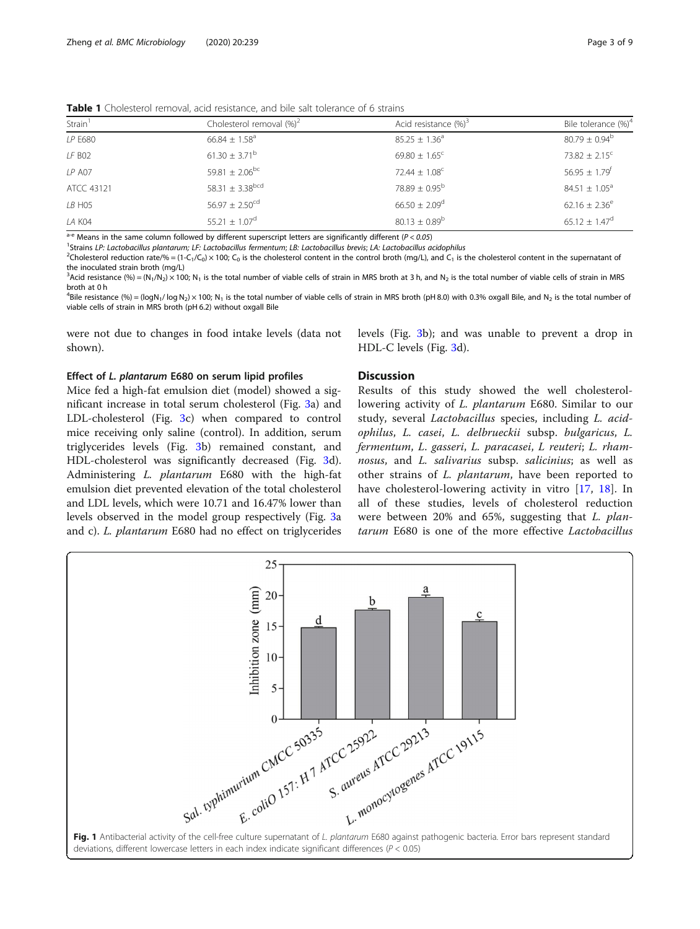<span id="page-2-0"></span>Table 1 Cholesterol removal, acid resistance, and bile salt tolerance of 6 strains

| Strain <sup>1</sup> | Cholesterol removal $(\%)^2$    | Acid resistance $(\%)^3$      | Bile tolerance (%) <sup>4</sup> |
|---------------------|---------------------------------|-------------------------------|---------------------------------|
| LP E680             | $66.84 \pm 1.58$ <sup>a</sup>   | $85.25 \pm 1.36^a$            | $80.79 \pm 0.94^{\circ}$        |
| LF B02              | $61.30 \pm 3.71^{\rm b}$        | $69.80 \pm 1.65$ <sup>c</sup> | $73.82 + 2.15^{\circ}$          |
| <b>LP A07</b>       | 59.81 $\pm$ 2.06 <sup>bc</sup>  | $72.44 \pm 1.08$ <sup>c</sup> | $56.95 \pm 1.79$ <sup>f</sup>   |
| ATCC 43121          | $58.31 \pm 3.38$ <sup>bcd</sup> | $78.89 + 0.95^{\circ}$        | $84.51 \pm 1.05^{\circ}$        |
| LB HO5              | $56.97 \pm 2.50^{cd}$           | $66.50 \pm 2.09$ <sup>d</sup> | $62.16 \pm 2.36^e$              |
| LA K04              | $55.21 \pm 1.07^{\circ}$        | $80.13 \pm 0.89^{\rm b}$      | $65.12 \pm 1.47$ <sup>d</sup>   |

 $a-e$  Means in the same column followed by different superscript letters are significantly different (P < 0.05)

<sup>1</sup>Strains LP: Lactobacillus plantarum; LF: Lactobacillus fermentum; LB: Lactobacillus brevis; LA: Lactobacillus acidophilus

<sup>2</sup>Cholesterol reduction rate/% = (1-C<sub>1</sub>/C<sub>0</sub>) × 100; C<sub>0</sub> is the cholesterol content in the control broth (mg/L), and C<sub>1</sub> is the cholesterol content in the supernatant of the inoculated strain broth (mg/L)

 ${}^{3}$ Acid resistance (%) = (N<sub>1</sub>/N<sub>2</sub>) × 100; N<sub>1</sub> is the total number of viable cells of strain in MRS broth at 3 h, and N<sub>2</sub> is the total number of viable cells of strain in MRS broth at 0 h

<sup>4</sup>Bile resistance (%) = (logN<sub>1</sub>/log N<sub>2</sub>) × 100; N<sub>1</sub> is the total number of viable cells of strain in MRS broth (pH 8.0) with 0.3% oxgall Bile, and N<sub>2</sub> is the total number of viable cells of strain in MRS broth (pH 6.2) without oxgall Bile

were not due to changes in food intake levels (data not shown).

#### Effect of L. plantarum E680 on serum lipid profiles

Mice fed a high-fat emulsion diet (model) showed a significant increase in total serum cholesterol (Fig. [3](#page-3-0)a) and LDL-cholesterol (Fig. [3c](#page-3-0)) when compared to control mice receiving only saline (control). In addition, serum triglycerides levels (Fig. [3](#page-3-0)b) remained constant, and HDL-cholesterol was significantly decreased (Fig. [3](#page-3-0)d). Administering L. plantarum E680 with the high-fat emulsion diet prevented elevation of the total cholesterol and LDL levels, which were 10.71 and 16.47% lower than levels observed in the model group respectively (Fig. [3](#page-3-0)a and c). L. plantarum E680 had no effect on triglycerides

levels (Fig. [3b](#page-3-0)); and was unable to prevent a drop in HDL-C levels (Fig. [3d](#page-3-0)).

#### **Discussion**

Results of this study showed the well cholesterollowering activity of L. plantarum E680. Similar to our study, several Lactobacillus species, including L. acidophilus, L. casei, L. delbrueckii subsp. bulgaricus, L. fermentum, L. gasseri, L. paracasei, L reuteri; L. rhamnosus, and L. salivarius subsp. salicinius; as well as other strains of L. plantarum, have been reported to have cholesterol-lowering activity in vitro [[17,](#page-8-0) [18\]](#page-8-0). In all of these studies, levels of cholesterol reduction were between 20% and 65%, suggesting that L. plantarum E680 is one of the more effective Lactobacillus

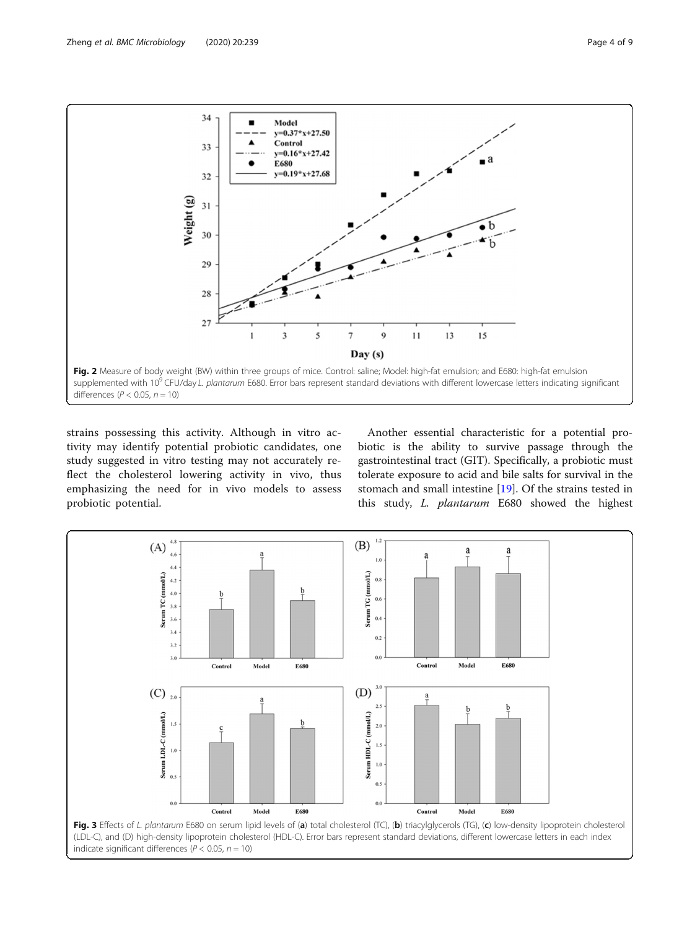<span id="page-3-0"></span>

strains possessing this activity. Although in vitro activity may identify potential probiotic candidates, one study suggested in vitro testing may not accurately reflect the cholesterol lowering activity in vivo, thus emphasizing the need for in vivo models to assess probiotic potential.

Another essential characteristic for a potential probiotic is the ability to survive passage through the gastrointestinal tract (GIT). Specifically, a probiotic must tolerate exposure to acid and bile salts for survival in the stomach and small intestine [[19\]](#page-8-0). Of the strains tested in this study, L. plantarum E680 showed the highest

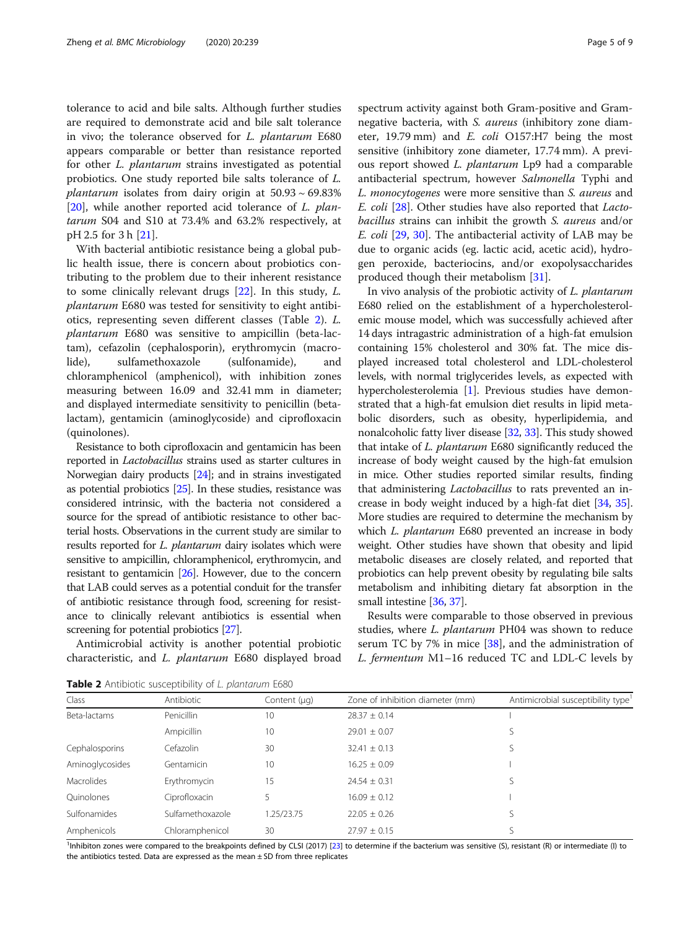<span id="page-4-0"></span>tolerance to acid and bile salts. Although further studies are required to demonstrate acid and bile salt tolerance in vivo; the tolerance observed for L. plantarum E680 appears comparable or better than resistance reported for other L. plantarum strains investigated as potential probiotics. One study reported bile salts tolerance of L. *plantarum* isolates from dairy origin at  $50.93 \sim 69.83\%$ [[20\]](#page-8-0), while another reported acid tolerance of  $L$ . plantarum S04 and S10 at 73.4% and 63.2% respectively, at pH 2.5 for 3 h [\[21](#page-8-0)].

With bacterial antibiotic resistance being a global public health issue, there is concern about probiotics contributing to the problem due to their inherent resistance to some clinically relevant drugs [[22\]](#page-8-0). In this study, L. plantarum E680 was tested for sensitivity to eight antibiotics, representing seven different classes (Table 2). L. plantarum E680 was sensitive to ampicillin (beta-lactam), cefazolin (cephalosporin), erythromycin (macrolide), sulfamethoxazole (sulfonamide), and chloramphenicol (amphenicol), with inhibition zones measuring between 16.09 and 32.41 mm in diameter; and displayed intermediate sensitivity to penicillin (betalactam), gentamicin (aminoglycoside) and ciprofloxacin (quinolones).

Resistance to both ciprofloxacin and gentamicin has been reported in Lactobacillus strains used as starter cultures in Norwegian dairy products [\[24\]](#page-8-0); and in strains investigated as potential probiotics [\[25\]](#page-8-0). In these studies, resistance was considered intrinsic, with the bacteria not considered a source for the spread of antibiotic resistance to other bacterial hosts. Observations in the current study are similar to results reported for *L. plantarum* dairy isolates which were sensitive to ampicillin, chloramphenicol, erythromycin, and resistant to gentamicin [\[26\]](#page-8-0). However, due to the concern that LAB could serves as a potential conduit for the transfer of antibiotic resistance through food, screening for resistance to clinically relevant antibiotics is essential when screening for potential probiotics [\[27\]](#page-8-0).

Antimicrobial activity is another potential probiotic characteristic, and L. plantarum E680 displayed broad spectrum activity against both Gram-positive and Gramnegative bacteria, with S. aureus (inhibitory zone diameter, 19.79 mm) and E. coli O157:H7 being the most sensitive (inhibitory zone diameter, 17.74 mm). A previous report showed L. plantarum Lp9 had a comparable antibacterial spectrum, however Salmonella Typhi and L. monocytogenes were more sensitive than S. aureus and E. coli [\[28](#page-8-0)]. Other studies have also reported that Lactobacillus strains can inhibit the growth S. aureus and/or E. coli [\[29](#page-8-0), [30](#page-8-0)]. The antibacterial activity of LAB may be due to organic acids (eg. lactic acid, acetic acid), hydrogen peroxide, bacteriocins, and/or exopolysaccharides produced though their metabolism [[31\]](#page-8-0).

In vivo analysis of the probiotic activity of L. plantarum E680 relied on the establishment of a hypercholesterolemic mouse model, which was successfully achieved after 14 days intragastric administration of a high-fat emulsion containing 15% cholesterol and 30% fat. The mice displayed increased total cholesterol and LDL-cholesterol levels, with normal triglycerides levels, as expected with hypercholesterolemia [[1\]](#page-7-0). Previous studies have demonstrated that a high-fat emulsion diet results in lipid metabolic disorders, such as obesity, hyperlipidemia, and nonalcoholic fatty liver disease [\[32,](#page-8-0) [33](#page-8-0)]. This study showed that intake of *L. plantarum* E680 significantly reduced the increase of body weight caused by the high-fat emulsion in mice. Other studies reported similar results, finding that administering Lactobacillus to rats prevented an increase in body weight induced by a high-fat diet [[34](#page-8-0), [35](#page-8-0)]. More studies are required to determine the mechanism by which *L. plantarum* E680 prevented an increase in body weight. Other studies have shown that obesity and lipid metabolic diseases are closely related, and reported that probiotics can help prevent obesity by regulating bile salts metabolism and inhibiting dietary fat absorption in the small intestine [\[36,](#page-8-0) [37](#page-8-0)].

Results were comparable to those observed in previous studies, where L. plantarum PH04 was shown to reduce serum TC by 7% in mice  $[38]$  $[38]$ , and the administration of L. fermentum M1–16 reduced TC and LDL-C levels by

| <b>Table 2</b> Antibiotic susceptibility of L. plantarum E680 |            |              |                                  |                                   |  |  |
|---------------------------------------------------------------|------------|--------------|----------------------------------|-----------------------------------|--|--|
| Class                                                         | Antibiotic | Content (µq) | Zone of inhibition diameter (mm) | Antimicrobial susceptibility type |  |  |

Beta-lactams Penicillin 10  $28.37 \pm 0.14$  I Ampicillin 10 29.01 ± 0.07 S Cephalosporins Cefazolin 30 32.41 ± 0.13 S Aminoglycosides Gentamicin 10 16.25 ± 0.09 I Macrolides Erythromycin 15 24.54 ± 0.31 S Quinolones Ciprofloxacin 5 16.09 ± 0.12 I Sulfonamides Sulfamethoxazole 1.25/23.75 22.05 ± 0.26 S Amphenicols Chloramphenicol 30 2797 + 0.15 S

<sup>1</sup>Inhibiton zones were compared to the breakpoints defined by CLSI (2017) [[23\]](#page-8-0) to determine if the bacterium was sensitive (S), resistant (R) or intermediate (I) to the antibiotics tested. Data are expressed as the mean  $\pm$  SD from three replicates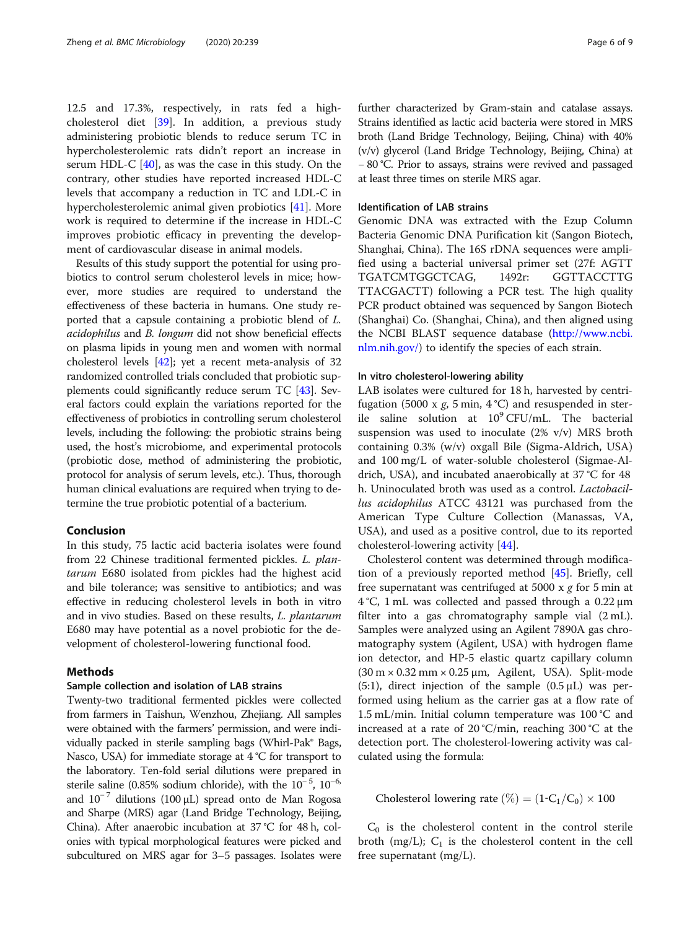12.5 and 17.3%, respectively, in rats fed a highcholesterol diet [\[39\]](#page-8-0). In addition, a previous study administering probiotic blends to reduce serum TC in hypercholesterolemic rats didn't report an increase in serum HDL-C [[40\]](#page-8-0), as was the case in this study. On the contrary, other studies have reported increased HDL-C levels that accompany a reduction in TC and LDL-C in hypercholesterolemic animal given probiotics [[41\]](#page-8-0). More work is required to determine if the increase in HDL-C improves probiotic efficacy in preventing the development of cardiovascular disease in animal models.

Results of this study support the potential for using probiotics to control serum cholesterol levels in mice; however, more studies are required to understand the effectiveness of these bacteria in humans. One study reported that a capsule containing a probiotic blend of L. acidophilus and B. longum did not show beneficial effects on plasma lipids in young men and women with normal cholesterol levels [[42](#page-8-0)]; yet a recent meta-analysis of 32 randomized controlled trials concluded that probiotic supplements could significantly reduce serum TC [[43](#page-8-0)]. Several factors could explain the variations reported for the effectiveness of probiotics in controlling serum cholesterol levels, including the following: the probiotic strains being used, the host's microbiome, and experimental protocols (probiotic dose, method of administering the probiotic, protocol for analysis of serum levels, etc.). Thus, thorough human clinical evaluations are required when trying to determine the true probiotic potential of a bacterium.

#### Conclusion

In this study, 75 lactic acid bacteria isolates were found from 22 Chinese traditional fermented pickles. L. plantarum E680 isolated from pickles had the highest acid and bile tolerance; was sensitive to antibiotics; and was effective in reducing cholesterol levels in both in vitro and in vivo studies. Based on these results, L. plantarum E680 may have potential as a novel probiotic for the development of cholesterol-lowering functional food.

#### Methods

#### Sample collection and isolation of LAB strains

Twenty-two traditional fermented pickles were collected from farmers in Taishun, Wenzhou, Zhejiang. All samples were obtained with the farmers' permission, and were individually packed in sterile sampling bags (Whirl-Pak® Bags, Nasco, USA) for immediate storage at 4 °C for transport to the laboratory. Ten-fold serial dilutions were prepared in sterile saline (0.85% sodium chloride), with the  $10^{-5}$ ,  $10^{-6}$ , and  $10^{-7}$  dilutions (100 μL) spread onto de Man Rogosa and Sharpe (MRS) agar (Land Bridge Technology, Beijing, China). After anaerobic incubation at 37 °C for 48 h, colonies with typical morphological features were picked and subcultured on MRS agar for 3–5 passages. Isolates were further characterized by Gram-stain and catalase assays. Strains identified as lactic acid bacteria were stored in MRS broth (Land Bridge Technology, Beijing, China) with 40% (v/v) glycerol (Land Bridge Technology, Beijing, China) at − 80 °C. Prior to assays, strains were revived and passaged at least three times on sterile MRS agar.

#### Identification of LAB strains

Genomic DNA was extracted with the Ezup Column Bacteria Genomic DNA Purification kit (Sangon Biotech, Shanghai, China). The 16S rDNA sequences were amplified using a bacterial universal primer set (27f: AGTT TGATCMTGGCTCAG, 1492r: GGTTACCTTG TTACGACTT) following a PCR test. The high quality PCR product obtained was sequenced by Sangon Biotech (Shanghai) Co. (Shanghai, China), and then aligned using the NCBI BLAST sequence database [\(http://www.ncbi.](http://www.ncbi.nlm.nih.gov/) [nlm.nih.gov/](http://www.ncbi.nlm.nih.gov/)) to identify the species of each strain.

#### In vitro cholesterol-lowering ability

LAB isolates were cultured for 18 h, harvested by centrifugation (5000 x  $g$ , 5 min, 4 °C) and resuspended in sterile saline solution at  $10^9$  CFU/mL. The bacterial suspension was used to inoculate (2% v/v) MRS broth containing 0.3% (w/v) oxgall Bile (Sigma-Aldrich, USA) and 100 mg/L of water-soluble cholesterol (Sigmae-Aldrich, USA), and incubated anaerobically at 37 °C for 48 h. Uninoculated broth was used as a control. Lactobacillus acidophilus ATCC 43121 was purchased from the American Type Culture Collection (Manassas, VA, USA), and used as a positive control, due to its reported cholesterol-lowering activity [\[44](#page-8-0)].

Cholesterol content was determined through modification of a previously reported method [[45\]](#page-8-0). Briefly, cell free supernatant was centrifuged at 5000 x  $g$  for 5 min at 4 °C, 1 mL was collected and passed through a 0.22 μm filter into a gas chromatography sample vial (2 mL). Samples were analyzed using an Agilent 7890A gas chromatography system (Agilent, USA) with hydrogen flame ion detector, and HP-5 elastic quartz capillary column  $(30 \text{ m} \times 0.32 \text{ mm} \times 0.25 \text{ µm}$ , Agilent, USA). Split-mode (5:1), direct injection of the sample  $(0.5 \mu L)$  was performed using helium as the carrier gas at a flow rate of 1.5 mL/min. Initial column temperature was 100 °C and increased at a rate of 20 °C/min, reaching 300 °C at the detection port. The cholesterol-lowering activity was calculated using the formula:

## Cholesterol lowering rate (%) =  $(1-C_1/C_0) \times 100$

 $C_0$  is the cholesterol content in the control sterile broth (mg/L);  $C_1$  is the cholesterol content in the cell free supernatant (mg/L).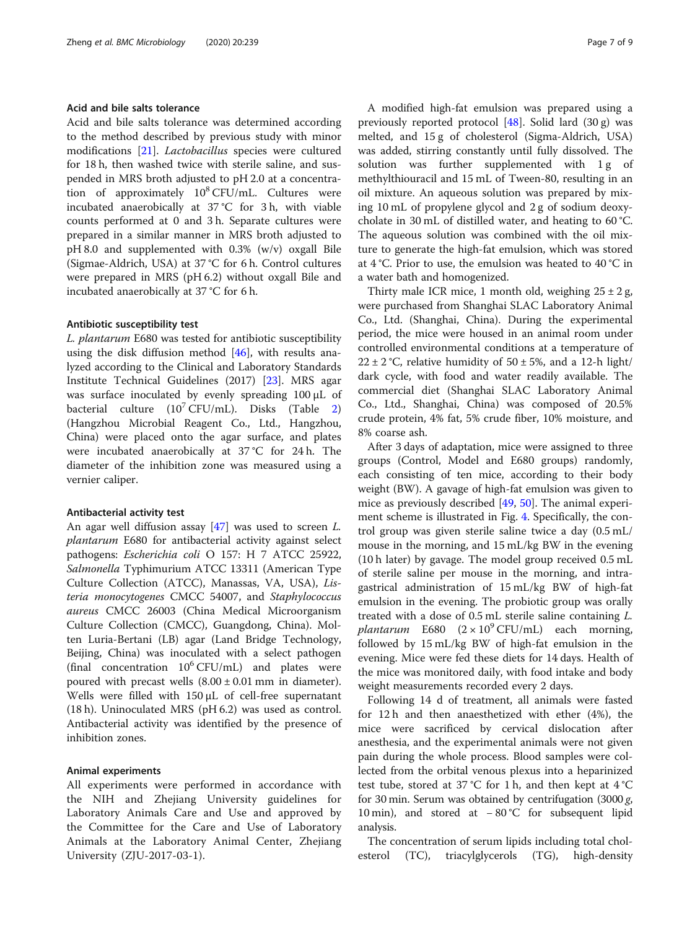#### Acid and bile salts tolerance

Acid and bile salts tolerance was determined according to the method described by previous study with minor modifications [\[21\]](#page-8-0). Lactobacillus species were cultured for 18 h, then washed twice with sterile saline, and suspended in MRS broth adjusted to pH 2.0 at a concentration of approximately  $10^8$  CFU/mL. Cultures were incubated anaerobically at 37 °C for 3 h, with viable counts performed at 0 and 3 h. Separate cultures were prepared in a similar manner in MRS broth adjusted to pH 8.0 and supplemented with 0.3% (w/v) oxgall Bile (Sigmae-Aldrich, USA) at 37 °C for 6 h. Control cultures were prepared in MRS (pH 6.2) without oxgall Bile and incubated anaerobically at 37 °C for 6 h.

#### Antibiotic susceptibility test

L. plantarum E680 was tested for antibiotic susceptibility using the disk diffusion method  $[46]$  $[46]$ , with results analyzed according to the Clinical and Laboratory Standards Institute Technical Guidelines (2017) [[23](#page-8-0)]. MRS agar was surface inoculated by evenly spreading 100 μL of bacterial culture  $(10^7 \text{CFU/mL})$ . Disks (Table [2](#page-4-0)) (Hangzhou Microbial Reagent Co., Ltd., Hangzhou, China) were placed onto the agar surface, and plates were incubated anaerobically at 37 °C for 24 h. The diameter of the inhibition zone was measured using a vernier caliper.

#### Antibacterial activity test

An agar well diffusion assay [\[47\]](#page-8-0) was used to screen L. plantarum E680 for antibacterial activity against select pathogens: Escherichia coli O 157: H 7 ATCC 25922, Salmonella Typhimurium ATCC 13311 (American Type Culture Collection (ATCC), Manassas, VA, USA), Listeria monocytogenes CMCC 54007, and Staphylococcus aureus CMCC 26003 (China Medical Microorganism Culture Collection (CMCC), Guangdong, China). Molten Luria-Bertani (LB) agar (Land Bridge Technology, Beijing, China) was inoculated with a select pathogen (final concentration  $10^6$  CFU/mL) and plates were poured with precast wells  $(8.00 \pm 0.01 \text{ mm}$  in diameter). Wells were filled with 150 μL of cell-free supernatant (18 h). Uninoculated MRS (pH 6.2) was used as control. Antibacterial activity was identified by the presence of inhibition zones.

#### Animal experiments

All experiments were performed in accordance with the NIH and Zhejiang University guidelines for Laboratory Animals Care and Use and approved by the Committee for the Care and Use of Laboratory Animals at the Laboratory Animal Center, Zhejiang University (ZJU-2017-03-1).

A modified high-fat emulsion was prepared using a previously reported protocol  $[48]$  $[48]$ . Solid lard  $(30 g)$  was melted, and 15 g of cholesterol (Sigma-Aldrich, USA) was added, stirring constantly until fully dissolved. The solution was further supplemented with 1g of methylthiouracil and 15 mL of Tween-80, resulting in an oil mixture. An aqueous solution was prepared by mixing 10 mL of propylene glycol and 2 g of sodium deoxycholate in 30 mL of distilled water, and heating to 60 °C. The aqueous solution was combined with the oil mixture to generate the high-fat emulsion, which was stored at 4 °C. Prior to use, the emulsion was heated to 40 °C in a water bath and homogenized.

Thirty male ICR mice, 1 month old, weighing  $25 \pm 2$  g, were purchased from Shanghai SLAC Laboratory Animal Co., Ltd. (Shanghai, China). During the experimental period, the mice were housed in an animal room under controlled environmental conditions at a temperature of  $22 \pm 2$  °C, relative humidity of  $50 \pm 5$ %, and a 12-h light/ dark cycle, with food and water readily available. The commercial diet (Shanghai SLAC Laboratory Animal Co., Ltd., Shanghai, China) was composed of 20.5% crude protein, 4% fat, 5% crude fiber, 10% moisture, and 8% coarse ash.

After 3 days of adaptation, mice were assigned to three groups (Control, Model and E680 groups) randomly, each consisting of ten mice, according to their body weight (BW). A gavage of high-fat emulsion was given to mice as previously described [\[49](#page-8-0), [50](#page-8-0)]. The animal experiment scheme is illustrated in Fig. [4.](#page-7-0) Specifically, the control group was given sterile saline twice a day (0.5 mL/ mouse in the morning, and 15 mL/kg BW in the evening (10 h later) by gavage. The model group received 0.5 mL of sterile saline per mouse in the morning, and intragastrical administration of 15 mL/kg BW of high-fat emulsion in the evening. The probiotic group was orally treated with a dose of 0.5 mL sterile saline containing L. plantarum E680  $(2 \times 10^{9} \text{ CFU/mL})$  each morning, followed by 15 mL/kg BW of high-fat emulsion in the evening. Mice were fed these diets for 14 days. Health of the mice was monitored daily, with food intake and body weight measurements recorded every 2 days.

Following 14 d of treatment, all animals were fasted for 12 h and then anaesthetized with ether (4%), the mice were sacrificed by cervical dislocation after anesthesia, and the experimental animals were not given pain during the whole process. Blood samples were collected from the orbital venous plexus into a heparinized test tube, stored at 37 °C for 1 h, and then kept at 4 °C for 30 min. Serum was obtained by centrifugation (3000 g, 10 min), and stored at − 80 °C for subsequent lipid analysis.

The concentration of serum lipids including total cholesterol (TC), triacylglycerols (TG), high-density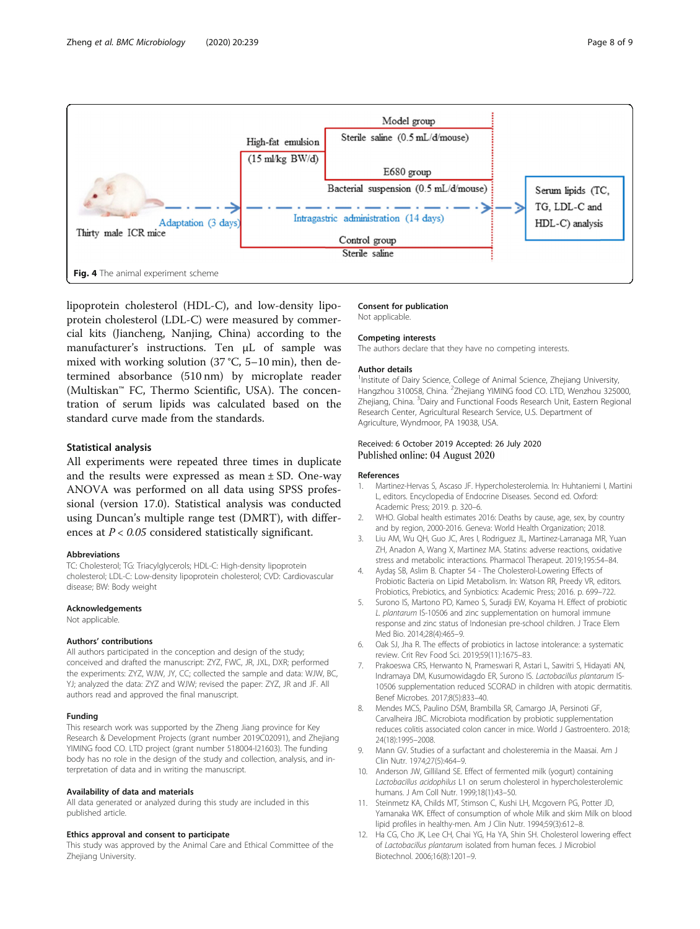<span id="page-7-0"></span>

lipoprotein cholesterol (HDL-C), and low-density lipoprotein cholesterol (LDL-C) were measured by commercial kits (Jiancheng, Nanjing, China) according to the manufacturer's instructions. Ten μL of sample was mixed with working solution (37 °C, 5–10 min), then determined absorbance (510 nm) by microplate reader (Multiskan™ FC, Thermo Scientific, USA). The concentration of serum lipids was calculated based on the standard curve made from the standards.

#### Statistical analysis

All experiments were repeated three times in duplicate and the results were expressed as mean  $\pm$  SD. One-way ANOVA was performed on all data using SPSS professional (version 17.0). Statistical analysis was conducted using Duncan's multiple range test (DMRT), with differences at  $P < 0.05$  considered statistically significant.

#### Abbreviations

TC: Cholesterol; TG: Triacylglycerols; HDL-C: High-density lipoprotein cholesterol; LDL-C: Low-density lipoprotein cholesterol; CVD: Cardiovascular disease; BW: Body weight

#### Acknowledgements

Not applicable.

#### Authors' contributions

All authors participated in the conception and design of the study; conceived and drafted the manuscript: ZYZ, FWC, JR, JXL, DXR; performed the experiments: ZYZ, WJW, JY, CC; collected the sample and data: WJW, BC, YJ; analyzed the data: ZYZ and WJW; revised the paper: ZYZ, JR and JF. All authors read and approved the final manuscript.

#### Funding

This research work was supported by the Zheng Jiang province for Key Research & Development Projects (grant number 2019C02091), and Zhejiang YIMING food CO. LTD project (grant number 518004-I21603). The funding body has no role in the design of the study and collection, analysis, and interpretation of data and in writing the manuscript.

#### Availability of data and materials

All data generated or analyzed during this study are included in this published article.

#### Ethics approval and consent to participate

This study was approved by the Animal Care and Ethical Committee of the Zhejiang University.

Consent for publication

Not applicable.

#### Competing interests

The authors declare that they have no competing interests.

#### Author details

<sup>1</sup>Institute of Dairy Science, College of Animal Science, Zhejiang University, Hangzhou 310058, China. <sup>2</sup>Zhejiang YIMING food CO. LTD, Wenzhou 325000, Zhejiang, China. <sup>3</sup>Dairy and Functional Foods Research Unit, Eastern Regional Research Center, Agricultural Research Service, U.S. Department of Agriculture, Wyndmoor, PA 19038, USA.

#### Received: 6 October 2019 Accepted: 26 July 2020 Published online: 04 August 2020

#### References

- 1. Martinez-Hervas S, Ascaso JF. Hypercholesterolemia. In: Huhtaniemi I, Martini L, editors. Encyclopedia of Endocrine Diseases. Second ed. Oxford: Academic Press; 2019. p. 320–6.
- 2. WHO. Global health estimates 2016: Deaths by cause, age, sex, by country and by region, 2000-2016. Geneva: World Health Organization; 2018.
- 3. Liu AM, Wu QH, Guo JC, Ares I, Rodriguez JL, Martinez-Larranaga MR, Yuan ZH, Anadon A, Wang X, Martinez MA. Statins: adverse reactions, oxidative stress and metabolic interactions. Pharmacol Therapeut. 2019;195:54–84.
- 4. Aydas SB, Aslim B, Chapter 54 The Cholesterol-Lowering Effects of Probiotic Bacteria on Lipid Metabolism. In: Watson RR, Preedy VR, editors. Probiotics, Prebiotics, and Synbiotics: Academic Press; 2016. p. 699–722.
- 5. Surono IS, Martono PD, Kameo S, Suradji EW, Koyama H. Effect of probiotic L. plantarum IS-10506 and zinc supplementation on humoral immune response and zinc status of Indonesian pre-school children. J Trace Elem Med Bio. 2014;28(4):465–9.
- 6. Oak SJ, Jha R. The effects of probiotics in lactose intolerance: a systematic review. Crit Rev Food Sci. 2019;59(11):1675–83.
- 7. Prakoeswa CRS, Herwanto N, Prameswari R, Astari L, Sawitri S, Hidayati AN, Indramaya DM, Kusumowidagdo ER, Surono IS. Lactobacillus plantarum IS-10506 supplementation reduced SCORAD in children with atopic dermatitis. Benef Microbes. 2017;8(5):833–40.
- 8. Mendes MCS, Paulino DSM, Brambilla SR, Camargo JA, Persinoti GF, Carvalheira JBC. Microbiota modification by probiotic supplementation reduces colitis associated colon cancer in mice. World J Gastroentero. 2018; 24(18):1995–2008.
- 9. Mann GV. Studies of a surfactant and cholesteremia in the Maasai. Am J Clin Nutr. 1974;27(5):464–9.
- 10. Anderson JW, Gilliland SE. Effect of fermented milk (yogurt) containing Lactobacillus acidophilus L1 on serum cholesterol in hypercholesterolemic humans. J Am Coll Nutr. 1999;18(1):43–50.
- 11. Steinmetz KA, Childs MT, Stimson C, Kushi LH, Mcgovern PG, Potter JD, Yamanaka WK. Effect of consumption of whole Milk and skim Milk on blood lipid profiles in healthy-men. Am J Clin Nutr. 1994;59(3):612–8.
- 12. Ha CG, Cho JK, Lee CH, Chai YG, Ha YA, Shin SH. Cholesterol lowering effect of Lactobacillus plantarum isolated from human feces. J Microbiol Biotechnol. 2006;16(8):1201–9.